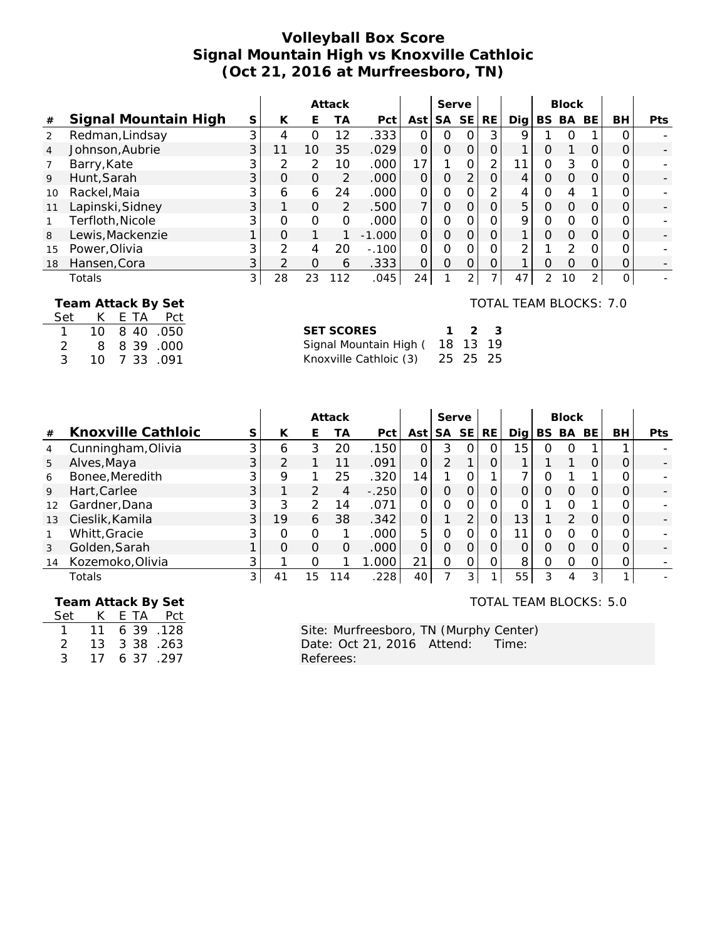# **Volleyball Box Score Signal Mountain High vs Knoxville Cathloic (Oct 21, 2016 at Murfreesboro, TN)**

|                |                      |                |                |               | Attack         |          |                | Serve     |               |                |               |                | <b>Block</b> |                |          |            |
|----------------|----------------------|----------------|----------------|---------------|----------------|----------|----------------|-----------|---------------|----------------|---------------|----------------|--------------|----------------|----------|------------|
| #              | Signal Mountain High | S              | K              | Е             | ТA             | Pct      | Ast            | <b>SA</b> | <b>SE</b>     | RE.            | Dig           |                | BS BA        | BE.            | BH       | <b>Pts</b> |
| 2              | Redman, Lindsay      | 3              | $\overline{4}$ | $\Omega$      | 12             | .333     | $\Omega$       | Ο         |               | 3              | 9             |                |              |                | 0        |            |
| $\overline{4}$ | Johnson, Aubrie      | 3              | 11             | 10            | 35             | .029     | $\Omega$       | 0         | $\Omega$      | $\Omega$       | 1             | 0              |              | 0              |          |            |
|                | Barry, Kate          |                | 2              | 2             | 10             | .000     | 17             |           | $\Omega$      | $\overline{2}$ | 11            | 0              | 3            | Ο              |          |            |
| 9              | Hunt, Sarah          | 3              | $\Omega$       | $\mathcal{O}$ | $\overline{2}$ | .000     | $\Omega$       | 0         | 2             | 0              | 4             | 0              | $\Omega$     | O              | Ο        |            |
| 10             | Rackel, Maia         |                | 6              | 6             | 24             | .000     | $\Omega$       | Ω         |               | $\overline{2}$ | 4             | Ω              | 4            | 1              | Ω        |            |
| 11             | Lapinski, Sidney     | 3              |                | $\Omega$      | 2              | .500     | $\overline{7}$ | $\Omega$  | $\Omega$      | 0              | 5             | O              | $\Omega$     | O              | Ο        |            |
|                | Terfloth, Nicole     | 3              | $\Omega$       | $\Omega$      | $\Omega$       | .000     | $\Omega$       | O         |               |                | 9             | Ω              | $\Omega$     | O              |          |            |
| 8              | Lewis, Mackenzie     |                | $\Omega$       |               |                | $-1.000$ | $\Omega$       | $\Omega$  | $\Omega$      | $\Omega$       | $\mathbf{1}$  | Ω              | $\Omega$     | $\Omega$       | 0        |            |
| 15             | Power, Olivia        | 3              | $\mathcal{P}$  | 4             | 20             | $-.100$  | $\Omega$       | O         | $\Omega$      | Ο              | $\mathcal{P}$ |                | 2            | O              |          |            |
| 18             | Hansen, Cora         | 3              | $\mathcal{P}$  | $\Omega$      | 6              | .333     | $\Omega$       | $\Omega$  | $\Omega$      | $\Omega$       |               | Ω              | $\Omega$     | O              | O        |            |
|                | Totals               | 3 <sup>1</sup> | 28             | 23            | 112            | .045     | 24             |           | $\mathcal{P}$ | $\overline{ }$ | 47            | $\overline{2}$ | 10           | 2 <sub>1</sub> | $\Omega$ |            |
|                |                      |                |                |               |                |          |                |           |               |                |               |                |              |                |          |            |

 **Team Attack By Set**

| Set          |      |  | K F TA Pct |  |
|--------------|------|--|------------|--|
| $\mathbf{1}$ | 10 I |  | 8 40 .050  |  |
| 2            | 8    |  | 8 39 .000  |  |
| 3            | 10   |  | 7 33 .091  |  |

TOTAL TEAM BLOCKS: 7.0

TOTAL TEAM BLOCKS: 5.0

| SET SCORES                      |  | $1 \t2 \t3$ |
|---------------------------------|--|-------------|
| Signal Mountain High ( 18 13 19 |  |             |
|                                 |  |             |

|    |                    |                |               |               | Attack |                   |                | Serve     |           |           |       |          | <b>Block</b>  |                |    |            |
|----|--------------------|----------------|---------------|---------------|--------|-------------------|----------------|-----------|-----------|-----------|-------|----------|---------------|----------------|----|------------|
| #  | Knoxville Cathloic | S              | К             | E             | ТA     | Pct               | Ast l          | <b>SA</b> | <b>SE</b> | <b>RE</b> | Dia l | BS.      | BA            | BE             | BH | <b>Pts</b> |
| 4  | Cunningham, Olivia | $\mathbf{3}$   | 6             | 3             | 20     | .150              | Ο              | 3         | O         | Ο         | 15    | Ω        | O             |                |    |            |
| 5  | Alves, Maya        | 3 <sup>1</sup> | $\mathcal{P}$ |               | 11     | .091              | O              | 2         |           |           |       |          |               | O              |    |            |
| 6  | Bonee, Meredith    |                | 9             |               | 25     | .320              | 14             |           | Ο         |           | ⇁     | ი        |               |                |    |            |
| 9  | Hart, Carlee       | $\mathcal{S}$  |               | $\mathcal{P}$ | 4      | $-.250$           | $\Omega$       | O         | O         | 0         | 0     | $\Omega$ | $\Omega$      | $\Omega$       |    |            |
| 12 | Gardner, Dana      |                | 3             | 2             | 14     | .071              | Ο              | 0         | O         |           | 0     |          | $\Omega$      |                |    |            |
| 13 | Cieslik, Kamila    | 3 <sup>1</sup> | 19            | 6             | 38     | .342              | $\overline{O}$ |           | 2         | 0         | 13    |          | $\mathcal{P}$ | $\Omega$       |    |            |
|    | Whitt, Gracie      |                | $\Omega$      | $\Omega$      |        | .000              | 5              | 0         | Ω         |           | -1    | ი        | $\Omega$      | Ω              |    |            |
| 3  | Golden, Sarah      |                | $\Omega$      | O             | Ο      | .000              | $\Omega$       | O         | O         | $\Omega$  | 0     | $\Omega$ | $\Omega$      | $\Omega$       |    |            |
| 14 | Kozemoko, Olivia   |                |               | ∩             |        | .000 <sub>1</sub> | 21             | Ω         | Ο         | Ω         | 8     | Ω        | O             | O              |    |            |
|    | Totals             | 31             | 41            | 15            | 14     | .228              | 40             |           | 3         |           | 55    | 3        | 4             | 3 <sub>l</sub> |    |            |

 **Team Attack By Set**

Set K E TA Pct  $1 11 6 39 .128$ 2 13 3 38 . 263 3 17 6 37 .297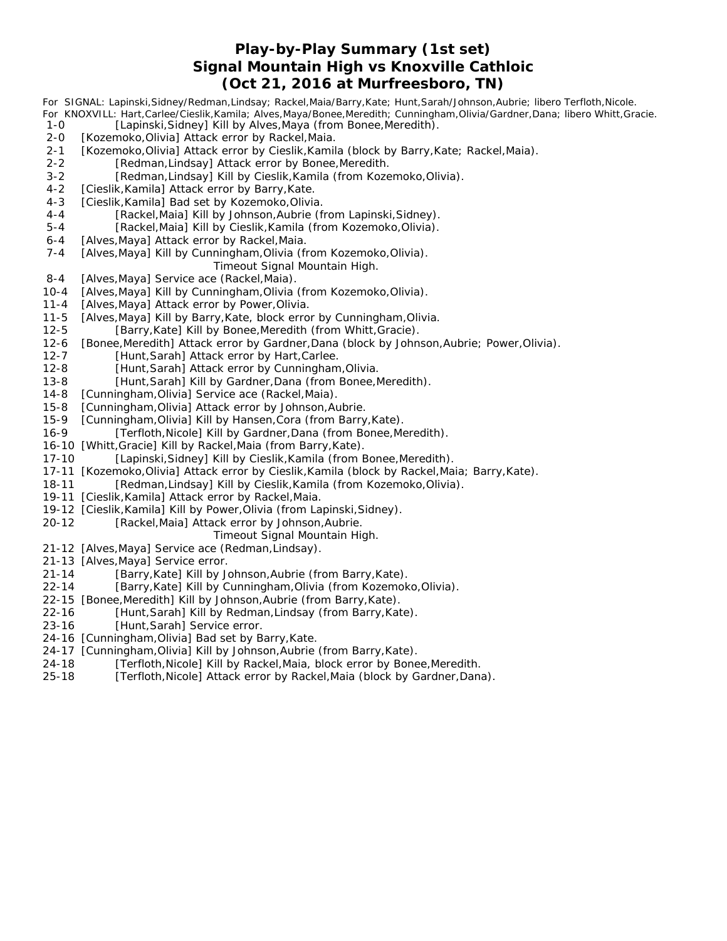### **Play-by-Play Summary (1st set) Signal Mountain High vs Knoxville Cathloic (Oct 21, 2016 at Murfreesboro, TN)**

*For SIGNAL: Lapinski,Sidney/Redman,Lindsay; Rackel,Maia/Barry,Kate; Hunt,Sarah/Johnson,Aubrie; libero Terfloth,Nicole. For KNOXVILL: Hart,Carlee/Cieslik,Kamila; Alves,Maya/Bonee,Meredith; Cunningham,Olivia/Gardner,Dana; libero Whitt,Gracie.* 1-0 [Lapinski, Sidney] Kill by Alves, Maya (from Bonee, Meredith). 2-0 [Kozemoko, Olivia] Attack error by Rackel, Maia. 2-1 [Kozemoko, Olivia] Attack error by Cieslik, Kamila (block by Barry, Kate; Rackel, Maia). 2-2 [Redman, Lindsay] Attack error by Bonee, Meredith. 3-2 [Redman,Lindsay] Kill by Cieslik,Kamila (from Kozemoko,Olivia). 4-2 [Cieslik, Kamila] Attack error by Barry, Kate. 4-3 [Cieslik, Kamila] Bad set by Kozemoko, Olivia. 4-4 [Rackel,Maia] Kill by Johnson,Aubrie (from Lapinski,Sidney). 5-4 [Rackel,Maia] Kill by Cieslik, Kamila (from Kozemoko, Olivia). 6-4 [Alves, Maya] Attack error by Rackel, Maia. 7-4 [Alves, Maya] Kill by Cunningham, Olivia (from Kozemoko, Olivia). *Timeout Signal Mountain High.* 8-4 [Alves, Maya] Service ace (Rackel, Maia). 10-4 [Alves,Maya] Kill by Cunningham,Olivia (from Kozemoko,Olivia). 11-4 [Alves,Maya] Attack error by Power,Olivia. 11-5 [Alves,Maya] Kill by Barry,Kate, block error by Cunningham,Olivia. 12-5 [Barry,Kate] Kill by Bonee,Meredith (from Whitt,Gracie). 12-6 [Bonee,Meredith] Attack error by Gardner,Dana (block by Johnson,Aubrie; Power,Olivia). 12-7 [Hunt,Sarah] Attack error by Hart,Carlee. 12-8 [Hunt,Sarah] Attack error by Cunningham,Olivia. 13-8 [Hunt,Sarah] Kill by Gardner,Dana (from Bonee,Meredith). 14-8 [Cunningham,Olivia] Service ace (Rackel,Maia). 15-8 [Cunningham,Olivia] Attack error by Johnson,Aubrie. 15-9 [Cunningham,Olivia] Kill by Hansen,Cora (from Barry,Kate). 16-9 [Terfloth, Nicole] Kill by Gardner, Dana (from Bonee, Meredith). 16-10 [Whitt,Gracie] Kill by Rackel,Maia (from Barry,Kate).

- 17-10 [Lapinski,Sidney] Kill by Cieslik,Kamila (from Bonee,Meredith).
- 17-11 [Kozemoko,Olivia] Attack error by Cieslik,Kamila (block by Rackel,Maia; Barry,Kate).
- 18-11 [Redman,Lindsay] Kill by Cieslik,Kamila (from Kozemoko,Olivia).
- 19-11 [Cieslik,Kamila] Attack error by Rackel,Maia.
- 19-12 [Cieslik,Kamila] Kill by Power,Olivia (from Lapinski,Sidney).
- 20-12 [Rackel,Maia] Attack error by Johnson,Aubrie.

#### *Timeout Signal Mountain High.*

- 21-12 [Alves,Maya] Service ace (Redman,Lindsay).
- 21-13 [Alves,Maya] Service error.
- 21-14 [Barry,Kate] Kill by Johnson,Aubrie (from Barry,Kate).
- 22-14 [Barry,Kate] Kill by Cunningham,Olivia (from Kozemoko,Olivia).
- 22-15 [Bonee,Meredith] Kill by Johnson,Aubrie (from Barry,Kate).
- 22-16 [Hunt,Sarah] Kill by Redman,Lindsay (from Barry,Kate).
- 23-16 [Hunt,Sarah] Service error.
- 24-16 [Cunningham,Olivia] Bad set by Barry,Kate.
- 24-17 [Cunningham,Olivia] Kill by Johnson,Aubrie (from Barry,Kate).
- 24-18 [Terfloth, Nicole] Kill by Rackel, Maia, block error by Bonee, Meredith.
- 25-18 [Terfloth,Nicole] Attack error by Rackel,Maia (block by Gardner,Dana).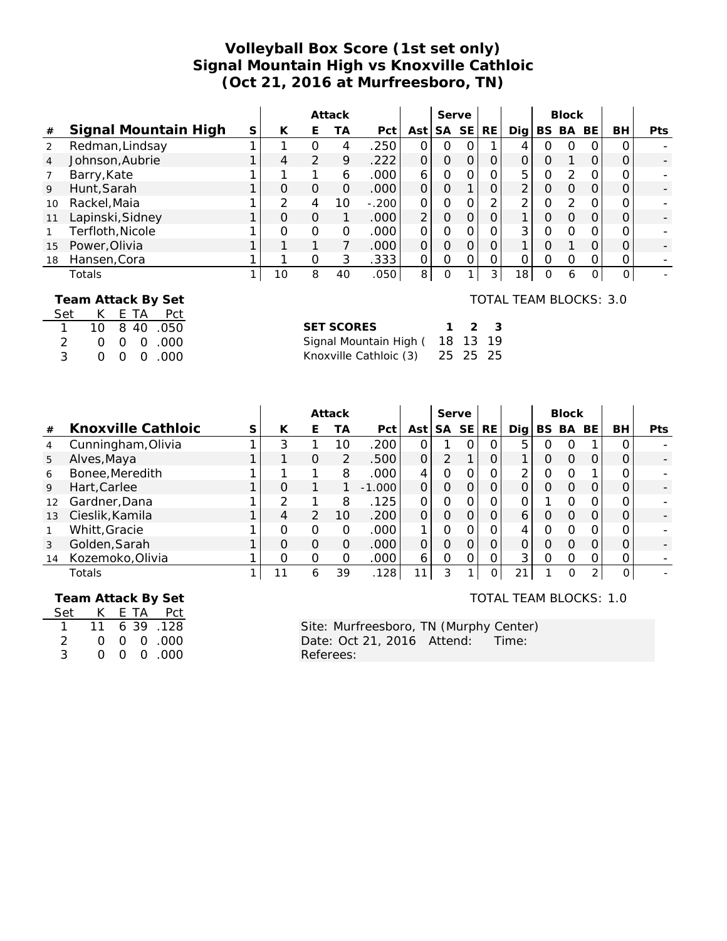# **Volleyball Box Score (1st set only) Signal Mountain High vs Knoxville Cathloic (Oct 21, 2016 at Murfreesboro, TN)**

|      |                      |   |    |   | Attack   |         |                | Serve    |           |           |                 |          | <b>Block</b>  |           |          |     |
|------|----------------------|---|----|---|----------|---------|----------------|----------|-----------|-----------|-----------------|----------|---------------|-----------|----------|-----|
| $\#$ | Signal Mountain High | S | К  | E | TА       | Pct     | Ast l          | SA       | <b>SE</b> | <b>RE</b> | Dia l           | BS.      | BA            | <b>BE</b> | BH       | Pts |
| 2    | Redman, Lindsay      |   |    | Ο | 4        | .250    | $\Omega$       | O        |           |           | 4               |          | Ω             | O         | ∩        |     |
| 4    | Johnson, Aubrie      |   | 4  | っ | 9        | .222    | 0              | $\Omega$ |           |           | 0               | 0        |               |           |          |     |
|      | Barry, Kate          |   |    |   | 6        | .000    | 6              | O        |           |           | 5               | 0        | $\mathcal{P}$ | $\Omega$  | 0        |     |
| 9    | Hunt, Sarah          |   |    | 0 | $\Omega$ | .000    | 0              | O        |           |           | 2 <sub>1</sub>  | 0        | Ο             | O         | 0        |     |
| 10   | Rackel, Maia         |   |    | 4 | 10       | $-.200$ | 0              | O        |           |           | 2               |          | $\mathcal{D}$ | $\Omega$  | 0        |     |
| 11   | Lapinski, Sidney     |   |    | O |          | .000    | 2 <sub>1</sub> | $\Omega$ |           |           |                 | $\Omega$ | Ω             | O         | O        |     |
|      | Terfloth, Nicole     |   |    | Ο | O        | .000    | $\Omega$       | $\Omega$ |           |           | $\overline{3}$  | Ω        | റ             | $\Omega$  | $\Omega$ |     |
| 15   | Power, Olivia        |   |    |   |          | .000    | 0              | O        |           |           | 1               |          |               | 0         | 0        |     |
| 18   | Hansen, Cora         |   |    | Ο | 3        | .333    | 0              | $\Omega$ | ∩         |           | 0               |          | റ             | 0         | 0        |     |
|      | Totals               |   | 10 | 8 | 40       | .050    | 8              | $\Omega$ |           | 3         | 18 <sub>l</sub> | O        | 6             | $\Omega$  | 0        |     |

#### **Team Attack By Set**

| Set          |    |  | K ETA Pct      |
|--------------|----|--|----------------|
| $\mathbf{1}$ |    |  | 10 8 40 .050   |
| 2            | O. |  | $0 \t0 \t.000$ |
| 3            | ∩  |  | $0 \t0 \t.000$ |

| <b>SET SCORES</b>               | $1 \t2 \t3$ |  |
|---------------------------------|-------------|--|
| Signal Mountain High ( 18 13 19 |             |  |
| Knoxville Cathloic (3) 25 25 25 |             |  |

|    |                         |   |               | Attack         |                   |     | Serve |           |           |     |     | <b>Block</b> |     |            |            |
|----|-------------------------|---|---------------|----------------|-------------------|-----|-------|-----------|-----------|-----|-----|--------------|-----|------------|------------|
| #  | Knoxville Cathloic<br>S | К | ⊢             | ТA             | Pct               | Ast | SA    | <b>SE</b> | <b>RE</b> | Dia | BS. | BA           | BE. | BH.        | <b>Pts</b> |
| 4  | Cunningham, Olivia      | 3 |               | 1 C            | .200              |     |       |           | Ο         | 5   |     |              |     |            |            |
| 5  | Alves, Maya             |   | Ο             | $\overline{2}$ | .500              |     | っ     |           | 0         |     | 0   |              | O   | $\Omega$   |            |
| 6  | Bonee, Meredith         |   |               | 8              | .000 <sub>1</sub> |     | Ο     |           | O         | ◠   |     |              |     | $\Omega$   |            |
| 9  | Hart, Carlee            | Ω |               |                | $-1.000$          |     | 0     |           | 0         |     |     |              | O   | $\Omega$   |            |
| 12 | Gardner, Dana           | ◠ |               | 8              | 125               |     | Ο     |           | 0         |     |     |              | 0   | $\Omega$   |            |
| 13 | Cieslik, Kamila         | 4 | $\mathcal{P}$ | 10             | .200              |     | Ο     |           | O         | 6   | O   | O            | O   | $\Omega$   |            |
|    | Whitt, Gracie           | Ω | ი             | $\Omega$       | .000              |     | ი     |           | Ω         | 4   |     |              | Ω   |            |            |
| 3  | Golden, Sarah           | Ω | O             | O              | .000              |     | ი     |           | $\Omega$  | 0   |     | Ω            | O   | $\Omega$   |            |
| 14 | Kozemoko, Olivia        | Ω | $\Omega$      | Ω              | .000 <sub>1</sub> | 6   | ი     |           | 0         | 3   | Ω   |              |     | $\Omega$   |            |
|    | Totals                  |   | 6             | 39             | 128               | 11  | 3     |           | 0         | 21  |     | ∩            | ◠   | $\Omega$ . |            |

 **Team Attack By Set**

| Set           |        |  | K E TA Pct   |
|---------------|--------|--|--------------|
|               | 11     |  | 6 39 128     |
| $\mathcal{P}$ | ∩.     |  | $0.00$ 0.000 |
| 3             | $\cap$ |  | 00.00        |

TOTAL TEAM BLOCKS: 1.0

TOTAL TEAM BLOCKS: 3.0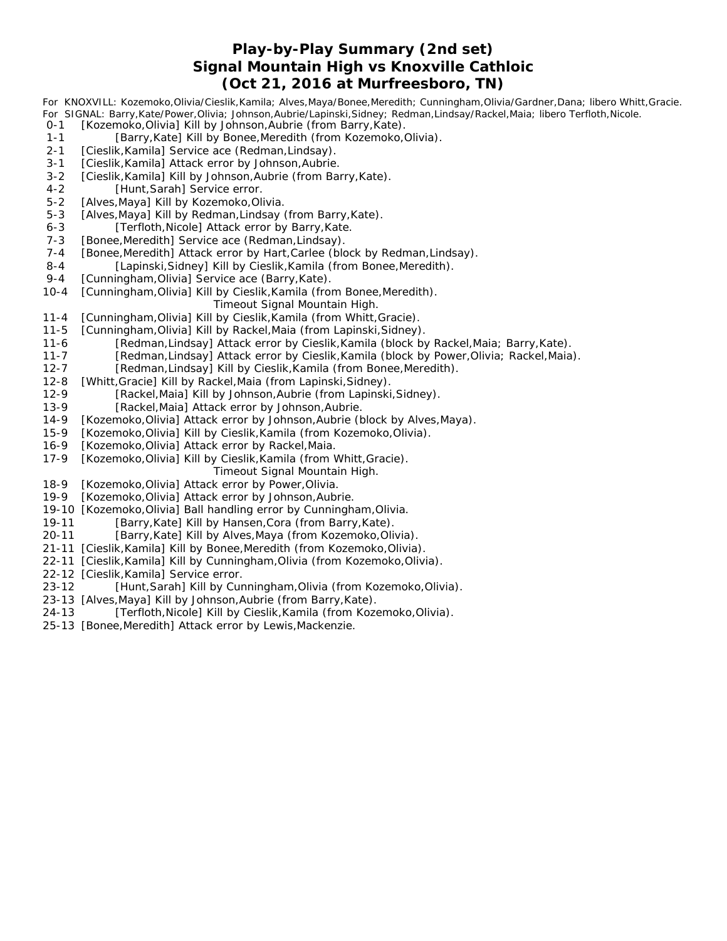# **Play-by-Play Summary (2nd set) Signal Mountain High vs Knoxville Cathloic (Oct 21, 2016 at Murfreesboro, TN)**

*For KNOXVILL: Kozemoko,Olivia/Cieslik,Kamila; Alves,Maya/Bonee,Meredith; Cunningham,Olivia/Gardner,Dana; libero Whitt,Gracie. For SIGNAL: Barry,Kate/Power,Olivia; Johnson,Aubrie/Lapinski,Sidney; Redman,Lindsay/Rackel,Maia; libero Terfloth,Nicole.*

- 0-1 [Kozemoko, Olivia] Kill by Johnson, Aubrie (from Barry, Kate).
- 1-1 [Barry, Kate] Kill by Bonee, Meredith (from Kozemoko, Olivia).
- 2-1 [Cieslik, Kamila] Service ace (Redman, Lindsay).
- 3-1 [Cieslik, Kamila] Attack error by Johnson, Aubrie.
- 3-2 [Cieslik, Kamila] Kill by Johnson, Aubrie (from Barry, Kate).
- 4-2 [Hunt, Sarah] Service error.
- 5-2 [Alves, Maya] Kill by Kozemoko, Olivia.
- 5-3 [Alves, Maya] Kill by Redman, Lindsay (from Barry, Kate).
- 6-3 [Terfloth, Nicole] Attack error by Barry, Kate.
- 7-3 [Bonee, Meredith] Service ace (Redman, Lindsay).
- 7-4 [Bonee, Meredith] Attack error by Hart, Carlee (block by Redman, Lindsay).
- 8-4 [Lapinski, Sidney] Kill by Cieslik, Kamila (from Bonee, Meredith).
- 9-4 [Cunningham, Olivia] Service ace (Barry, Kate).
- 10-4 [Cunningham,Olivia] Kill by Cieslik,Kamila (from Bonee,Meredith).
	- *Timeout Signal Mountain High.*
- 11-4 [Cunningham,Olivia] Kill by Cieslik,Kamila (from Whitt,Gracie).
- 11-5 [Cunningham,Olivia] Kill by Rackel,Maia (from Lapinski,Sidney).
- 11-6 [Redman,Lindsay] Attack error by Cieslik,Kamila (block by Rackel,Maia; Barry,Kate).
- 11-7 [Redman,Lindsay] Attack error by Cieslik,Kamila (block by Power,Olivia; Rackel,Maia).
- 12-7 [Redman,Lindsay] Kill by Cieslik,Kamila (from Bonee,Meredith).
- 12-8 [Whitt,Gracie] Kill by Rackel,Maia (from Lapinski,Sidney).
- 12-9 [Rackel,Maia] Kill by Johnson,Aubrie (from Lapinski,Sidney).
- 13-9 [Rackel,Maia] Attack error by Johnson,Aubrie.
- 14-9 [Kozemoko,Olivia] Attack error by Johnson,Aubrie (block by Alves,Maya).
- 15-9 [Kozemoko,Olivia] Kill by Cieslik,Kamila (from Kozemoko,Olivia).
- 16-9 [Kozemoko,Olivia] Attack error by Rackel,Maia.
- 17-9 [Kozemoko,Olivia] Kill by Cieslik,Kamila (from Whitt,Gracie).
	- *Timeout Signal Mountain High.*
- 18-9 [Kozemoko,Olivia] Attack error by Power,Olivia.
- 19-9 [Kozemoko,Olivia] Attack error by Johnson,Aubrie.
- 19-10 [Kozemoko,Olivia] Ball handling error by Cunningham,Olivia.
- 19-11 [Barry,Kate] Kill by Hansen,Cora (from Barry,Kate).
- 20-11 [Barry,Kate] Kill by Alves,Maya (from Kozemoko,Olivia).
- 21-11 [Cieslik,Kamila] Kill by Bonee,Meredith (from Kozemoko,Olivia).
- 22-11 [Cieslik,Kamila] Kill by Cunningham,Olivia (from Kozemoko,Olivia).
- 22-12 [Cieslik,Kamila] Service error.
- 23-12 [Hunt,Sarah] Kill by Cunningham,Olivia (from Kozemoko,Olivia).
- 23-13 [Alves,Maya] Kill by Johnson,Aubrie (from Barry,Kate).
- 24-13 [Terfloth,Nicole] Kill by Cieslik,Kamila (from Kozemoko,Olivia).
- 25-13 [Bonee,Meredith] Attack error by Lewis,Mackenzie.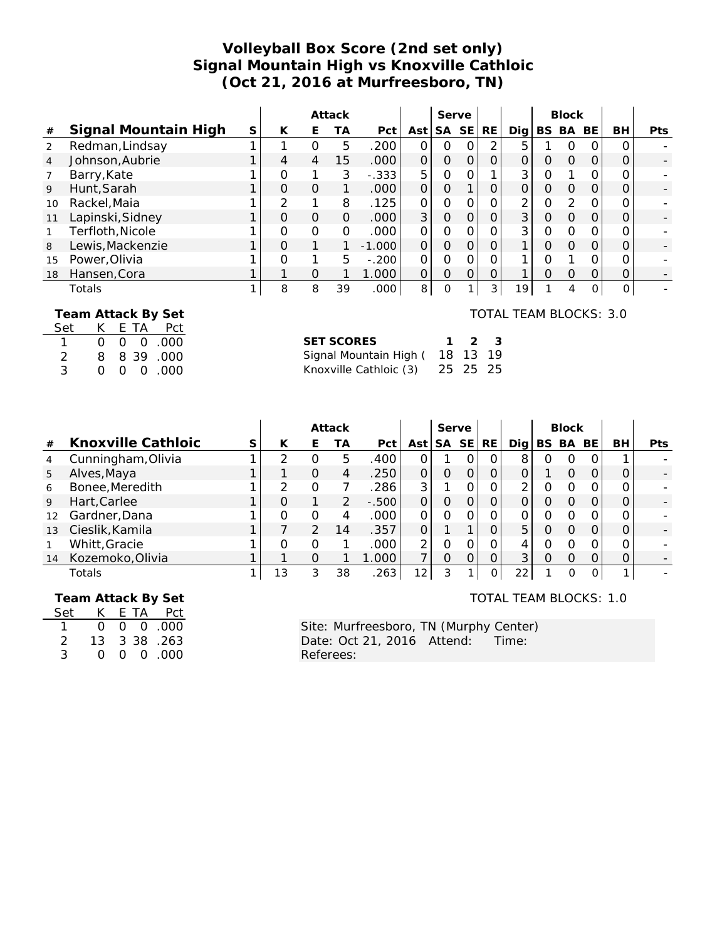# **Volleyball Box Score (2nd set only) Signal Mountain High vs Knoxville Cathloic (Oct 21, 2016 at Murfreesboro, TN)**

|      |                      |   |                |               | Attack   |          |               | Serve          |           |           |                        |   | <b>Block</b> |    |          |            |
|------|----------------------|---|----------------|---------------|----------|----------|---------------|----------------|-----------|-----------|------------------------|---|--------------|----|----------|------------|
| $\#$ | Signal Mountain High | S | K              | Е             | ТA       | Pct      | Ast           | SA             | <b>SE</b> | <b>RE</b> | Dig                    |   | BS BA        | BE | BH       | <b>Pts</b> |
| 2    | Redman, Lindsay      |   |                | 0             | 5        | .200     | 0             | 0              |           | ◠         | 5                      |   | O            |    |          |            |
| 4    | Johnson, Aubrie      |   | 4              | 4             | 15       | .000     | $\mathcal{O}$ | $\Omega$       |           | 0         | $\Omega$               | Ο | $\Omega$     | O  | Ο        |            |
|      | Barry, Kate          |   | Ο              |               | 3        | $-.333$  | 5             | 0              |           |           | 3                      | Ο |              |    |          |            |
| 9    | Hunt, Sarah          |   | $\Omega$       | $\mathcal{O}$ |          | .000     | $\Omega$      | $\Omega$       |           | O         | $\Omega$               | Ο | $\Omega$     | O  | 0        |            |
| 10   | Rackel, Maia         |   | $\overline{2}$ |               | 8        | .125     | $\Omega$      | 0              |           | 0         | $\overline{2}$         | 0 | 2            | Ω  |          |            |
| 11   | Lapinski, Sidney     |   | $\Omega$       | $\mathcal{O}$ | $\Omega$ | .000     | 3             | $\overline{O}$ |           | $\Omega$  | 3                      | Ο | $\Omega$     | O  | Ο        |            |
|      | Terfloth, Nicole     |   | Ο              | $\mathbf 0$   | $\Omega$ | .000     | $\Omega$      | 0              |           | 0         | 3                      | Ο | $\Omega$     | Ω  |          |            |
| 8    | Lewis, Mackenzie     |   | $\Omega$       | 1             |          | $-1.000$ | $\Omega$      | $\Omega$       |           | $\Omega$  |                        | 0 | $\Omega$     | O  | O        |            |
| 15   | Power, Olivia        |   | $\Omega$       |               | 5        | $-.200$  | O             | O              |           | Ω         |                        | ი |              |    |          |            |
| 18   | Hansen, Cora         |   |                | O             |          | 1.000    | $\Omega$      | 0              |           | 0         |                        | ი | $\Omega$     | Ω  | Ο        |            |
|      | Totals               |   | 8              | 8             | 39       | .000     | 8             | $\Omega$       |           | 3         | 19 <sub>1</sub>        |   | 4            | 0  | $\Omega$ |            |
|      | Team Attack By Set   |   |                |               |          |          |               |                |           |           | TOTAL TEAM BLOCKS: 3.0 |   |              |    |          |            |

|               | Feall Attack by Jet |  |           |
|---------------|---------------------|--|-----------|
| Set           |                     |  | K ETA Pct |
|               |                     |  | 000.000   |
| $\mathcal{P}$ | 8.                  |  | 8 39 .000 |
| 3             | ∩                   |  | 000.00    |

| SET SCORES                      | $1 \t2 \t3$ |  |
|---------------------------------|-------------|--|
| Signal Mountain High (18 13 19  |             |  |
| Knoxville Cathloic (3) 25 25 25 |             |  |

|    |                    |    |    | Attack        |          |          |           | Serve |           |          |   | <b>Block</b>     |          |    |     |
|----|--------------------|----|----|---------------|----------|----------|-----------|-------|-----------|----------|---|------------------|----------|----|-----|
| #  | Knoxville Cathloic | К  | F. | ТA            | Pct      | Ast      | <b>SA</b> | SE    | <b>RE</b> | Dig      |   | BS BA            | BE.      | BН | Pts |
| 4  | Cunningham, Olivia |    | O  | 5             | .400     |          |           | Ω.    | 0         | 8        | 0 | $\left( \right)$ | 0        |    |     |
| 5  | Alves, Maya        |    | Ο  | 4             | .250     | $\Omega$ | Ο         | 0     | O         |          |   | Ω                | O        |    |     |
| 6  | Bonee, Meredith    |    | 0  |               | .286     | 3        |           |       | O         | $\Omega$ |   |                  | 0        |    |     |
| 9  | Hart, Carlee       |    |    | $\mathcal{P}$ | $-0.500$ | $\Omega$ | Ο         | 0     | $\Omega$  |          |   | $\left( \right)$ | 0        |    |     |
| 12 | Gardner, Dana      |    | Ο  | 4             | .000     | $\Omega$ | Ω         |       | Ω         |          |   |                  | Ω        |    |     |
| 13 | Cieslik, Kamila    |    | 2  | 14            | .357     | $\Omega$ |           |       | 0         | 5        |   | Ω                | $\Omega$ | O  |     |
|    | Whitt, Gracie      |    | O  |               | .000     | 2        | Ω         |       | O         |          |   |                  | O        |    |     |
| 14 | Kozemoko, Olivia   |    | Ω  |               | .000     |          | O         |       | O         | 3        | Ο |                  | O        | 0  |     |
|    | Totals             | 13 | 3  | 38            | 263      | 12       | 3         |       | 0         | 22       |   | ∩                | 0        |    |     |

 **Team Attack By Set**

| Set |    |  | K E TA Pct            |
|-----|----|--|-----------------------|
|     | 0. |  | $0 \quad 0 \quad 000$ |
| 2   |    |  | 13 3 38 .263          |
| 3   | 0. |  | $0 \quad 0 \quad 000$ |

TOTAL TEAM BLOCKS: 1.0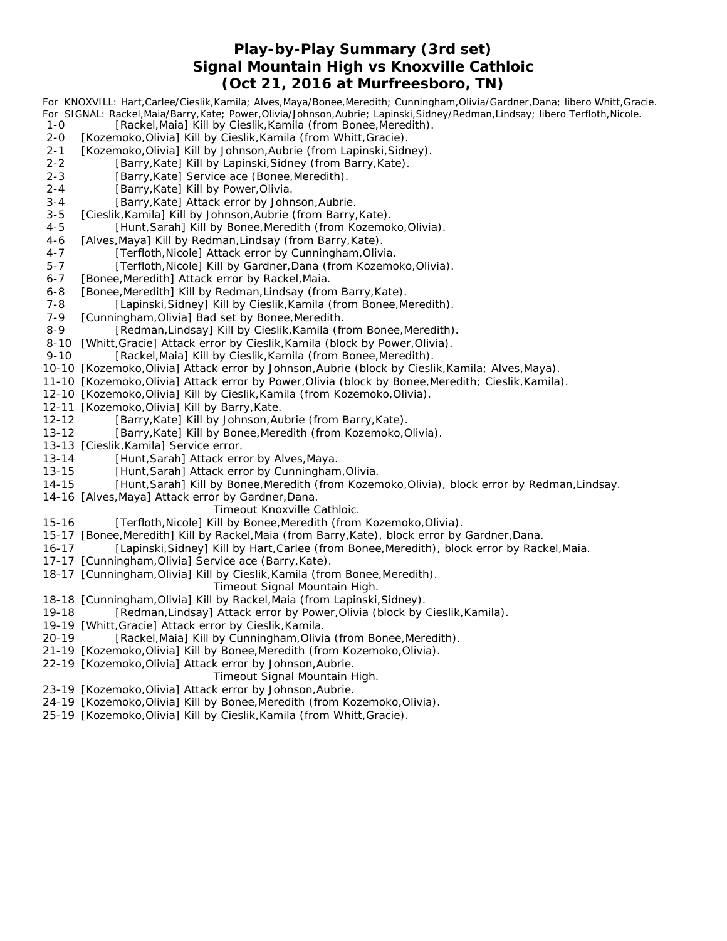## **Play-by-Play Summary (3rd set) Signal Mountain High vs Knoxville Cathloic (Oct 21, 2016 at Murfreesboro, TN)**

*For KNOXVILL: Hart,Carlee/Cieslik,Kamila; Alves,Maya/Bonee,Meredith; Cunningham,Olivia/Gardner,Dana; libero Whitt,Gracie. For SIGNAL: Rackel,Maia/Barry,Kate; Power,Olivia/Johnson,Aubrie; Lapinski,Sidney/Redman,Lindsay; libero Terfloth,Nicole.* 1-0 [Rackel,Maia] Kill by Cieslik,Kamila (from Bonee,Meredith). 2-0 [Kozemoko,Olivia] Kill by Cieslik, Kamila (from Whitt, Gracie). 2-1 [Kozemoko, Olivia] Kill by Johnson, Aubrie (from Lapinski, Sidney). 2-2 [Barry, Kate] Kill by Lapinski, Sidney (from Barry, Kate). 2-3 [Barry, Kate] Service ace (Bonee, Meredith). 2-4 [Barry, Kate] Kill by Power, Olivia. 3-4 [Barry, Kate] Attack error by Johnson, Aubrie. 3-5 [Cieslik, Kamila] Kill by Johnson, Aubrie (from Barry, Kate). 4-5 [Hunt,Sarah] Kill by Bonee,Meredith (from Kozemoko,Olivia). 4-6 [Alves, Maya] Kill by Redman, Lindsay (from Barry, Kate). 4-7 [Terfloth, Nicole] Attack error by Cunningham, Olivia. 5-7 [Terfloth, Nicole] Kill by Gardner, Dana (from Kozemoko, Olivia). 6-7 [Bonee, Meredith] Attack error by Rackel, Maia. 6-8 [Bonee, Meredith] Kill by Redman, Lindsay (from Barry, Kate). 7-8 [Lapinski, Sidney] Kill by Cieslik, Kamila (from Bonee, Meredith). 7-9 [Cunningham, Olivia] Bad set by Bonee, Meredith. 8-9 [Redman, Lindsay] Kill by Cieslik, Kamila (from Bonee, Meredith). 8-10 [Whitt, Gracie] Attack error by Cieslik, Kamila (block by Power, Olivia). 9-10 [Rackel,Maia] Kill by Cieslik,Kamila (from Bonee,Meredith). 10-10 [Kozemoko,Olivia] Attack error by Johnson,Aubrie (block by Cieslik,Kamila; Alves,Maya). 11-10 [Kozemoko,Olivia] Attack error by Power,Olivia (block by Bonee,Meredith; Cieslik,Kamila). 12-10 [Kozemoko,Olivia] Kill by Cieslik,Kamila (from Kozemoko,Olivia). 12-11 [Kozemoko,Olivia] Kill by Barry,Kate. 12-12 [Barry,Kate] Kill by Johnson,Aubrie (from Barry,Kate). 13-12 [Barry,Kate] Kill by Bonee,Meredith (from Kozemoko,Olivia). 13-13 [Cieslik,Kamila] Service error. 13-14 [Hunt,Sarah] Attack error by Alves,Maya. 13-15 [Hunt,Sarah] Attack error by Cunningham,Olivia. 14-15 [Hunt,Sarah] Kill by Bonee,Meredith (from Kozemoko,Olivia), block error by Redman,Lindsay. 14-16 [Alves,Maya] Attack error by Gardner,Dana. *Timeout Knoxville Cathloic.*

- 15-16 [Terfloth,Nicole] Kill by Bonee,Meredith (from Kozemoko,Olivia).
- 15-17 [Bonee,Meredith] Kill by Rackel,Maia (from Barry,Kate), block error by Gardner,Dana.
- 16-17 [Lapinski,Sidney] Kill by Hart,Carlee (from Bonee,Meredith), block error by Rackel,Maia.
- 17-17 [Cunningham,Olivia] Service ace (Barry,Kate).
- 18-17 [Cunningham,Olivia] Kill by Cieslik,Kamila (from Bonee,Meredith).

#### *Timeout Signal Mountain High.*

- 18-18 [Cunningham,Olivia] Kill by Rackel,Maia (from Lapinski,Sidney).
- 19-18 [Redman,Lindsay] Attack error by Power,Olivia (block by Cieslik,Kamila).
- 19-19 [Whitt,Gracie] Attack error by Cieslik,Kamila.
- 20-19 [Rackel,Maia] Kill by Cunningham,Olivia (from Bonee,Meredith).
- 21-19 [Kozemoko,Olivia] Kill by Bonee,Meredith (from Kozemoko,Olivia).
- 22-19 [Kozemoko,Olivia] Attack error by Johnson,Aubrie.

#### *Timeout Signal Mountain High.*

- 23-19 [Kozemoko,Olivia] Attack error by Johnson,Aubrie.
- 24-19 [Kozemoko,Olivia] Kill by Bonee,Meredith (from Kozemoko,Olivia).
- 25-19 [Kozemoko,Olivia] Kill by Cieslik,Kamila (from Whitt,Gracie).